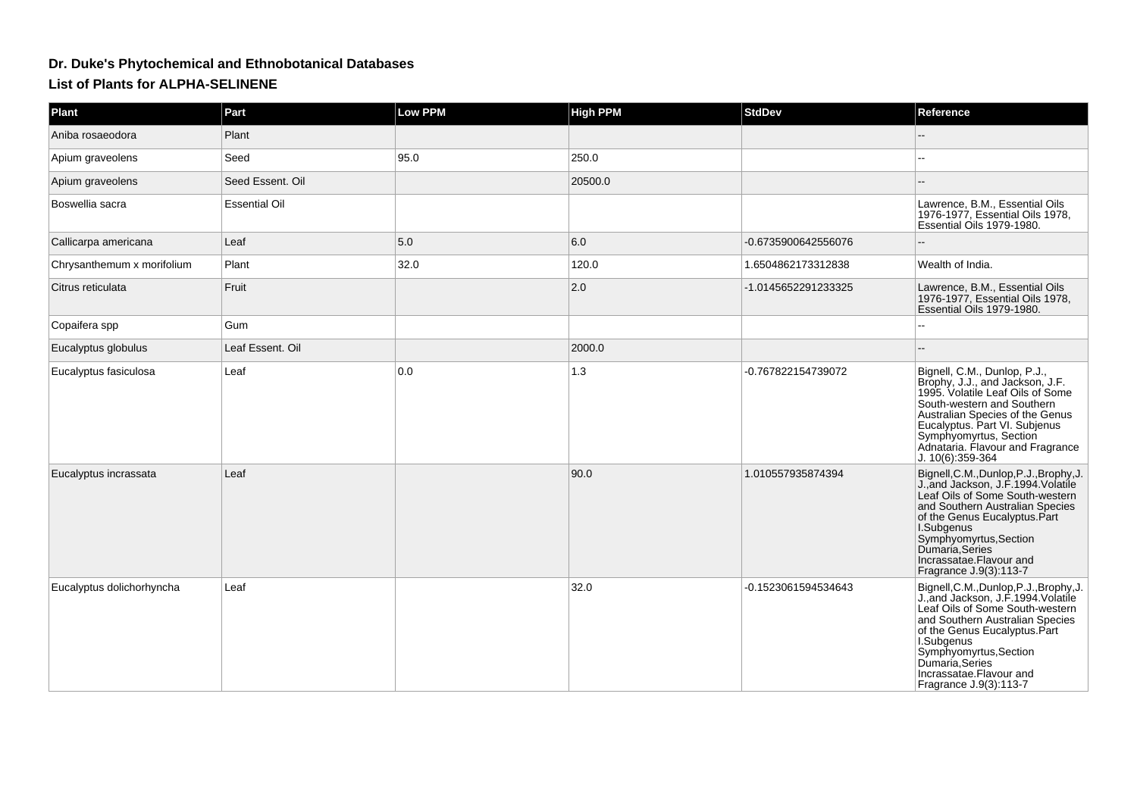## **Dr. Duke's Phytochemical and Ethnobotanical DatabasesList of Plants for ALPHA-SELINENE**

| Plant                      | Part                 | Low PPM | <b>High PPM</b> | <b>StdDev</b>       | Reference                                                                                                                                                                                                                                                                                              |
|----------------------------|----------------------|---------|-----------------|---------------------|--------------------------------------------------------------------------------------------------------------------------------------------------------------------------------------------------------------------------------------------------------------------------------------------------------|
| Aniba rosaeodora           | Plant                |         |                 |                     |                                                                                                                                                                                                                                                                                                        |
| Apium graveolens           | Seed                 | 95.0    | 250.0           |                     |                                                                                                                                                                                                                                                                                                        |
| Apium graveolens           | Seed Essent, Oil     |         | 20500.0         |                     |                                                                                                                                                                                                                                                                                                        |
| Boswellia sacra            | <b>Essential Oil</b> |         |                 |                     | Lawrence, B.M., Essential Oils<br>1976-1977, Essential Oils 1978,<br>Essential Oils 1979-1980.                                                                                                                                                                                                         |
| Callicarpa americana       | Leaf                 | 5.0     | 6.0             | -0.6735900642556076 |                                                                                                                                                                                                                                                                                                        |
| Chrysanthemum x morifolium | Plant                | 32.0    | 120.0           | 1.6504862173312838  | Wealth of India.                                                                                                                                                                                                                                                                                       |
| Citrus reticulata          | Fruit                |         | 2.0             | -1.0145652291233325 | Lawrence, B.M., Essential Oils<br>1976-1977, Essential Oils 1978,<br>Essential Oils 1979-1980.                                                                                                                                                                                                         |
| Copaifera spp              | Gum                  |         |                 |                     |                                                                                                                                                                                                                                                                                                        |
| Eucalyptus globulus        | Leaf Essent. Oil     |         | 2000.0          |                     |                                                                                                                                                                                                                                                                                                        |
| Eucalyptus fasiculosa      | Leaf                 | 0.0     | 1.3             | -0.767822154739072  | Bignell, C.M., Dunlop, P.J.,<br>Brophy, J.J., and Jackson, J.F.<br>1995. Volatile Leaf Oils of Some<br>South-western and Southern<br>Australian Species of the Genus<br>Eucalyptus. Part VI. Subjenus<br>Symphyomyrtus, Section<br>Adnataria. Flavour and Fragrance<br>J. 10(6):359-364                |
| Eucalyptus incrassata      | Leaf                 |         | 90.0            | 1.010557935874394   | Bignell, C.M., Dunlop, P.J., Brophy, J.<br>J., and Jackson, J.F. 1994. Volatile<br>Leaf Oils of Some South-western<br>and Southern Australian Species<br>of the Genus Eucalyptus.Part<br>I.Subgenus<br>Symphyomyrtus, Section<br>Dumaria, Series<br>Incrassatae. Flavour and<br>Fragrance J.9(3):113-7 |
| Eucalyptus dolichorhyncha  | Leaf                 |         | 32.0            | -0.1523061594534643 | Bignell, C.M., Dunlop, P.J., Brophy, J.<br>J., and Jackson, J.F. 1994. Volatile<br>Leaf Oils of Some South-western<br>and Southern Australian Species<br>of the Genus Eucalyptus.Part<br>I.Subgenus<br>Symphyomyrtus, Section<br>Dumaria, Series<br>Incrassatae. Flavour and<br>Fragrance J.9(3):113-7 |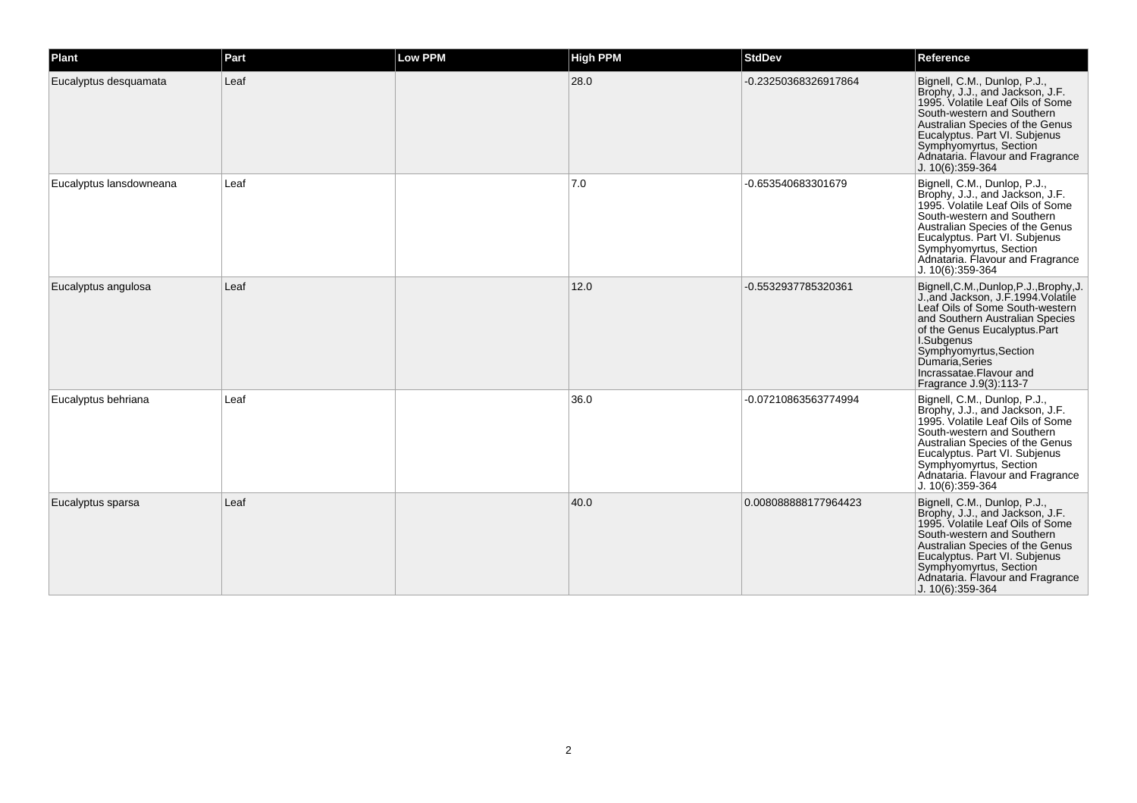| Plant                   | Part | Low PPM | <b>High PPM</b> | <b>StdDev</b>        | Reference                                                                                                                                                                                                                                                                                             |
|-------------------------|------|---------|-----------------|----------------------|-------------------------------------------------------------------------------------------------------------------------------------------------------------------------------------------------------------------------------------------------------------------------------------------------------|
| Eucalyptus desquamata   | Leaf |         | 28.0            | -0.23250368326917864 | Bignell, C.M., Dunlop, P.J.,<br>Brophy, J.J., and Jackson, J.F.<br>1995. Volatile Leaf Oils of Some<br>South-western and Southern<br>Australian Species of the Genus<br>Eucalyptus. Part VI. Subjenus<br>Symphyomyrtus, Section<br>Adnataria. Flavour and Fragrance<br>J. 10(6):359-364               |
| Eucalyptus lansdowneana | Leaf |         | 7.0             | -0.653540683301679   | Bignell, C.M., Dunlop, P.J.,<br>Brophy, J.J., and Jackson, J.F.<br>1995. Volatile Leaf Oils of Some<br>South-western and Southern<br>Australian Species of the Genus<br>Eucalyptus. Part VI. Subjenus<br>Symphyomyrtus, Section<br>Adnataria. Flavour and Fragrance<br>$J. 10(6):359-364$             |
| Eucalyptus angulosa     | Leaf |         | 12.0            | -0.5532937785320361  | Bignell, C.M., Dunlop, P.J., Brophy, J.<br>J., and Jackson, J.F. 1994. Volatile<br>Leaf Oils of Some South-western<br>and Southern Australian Species<br>of the Genus Eucalyptus.Part<br>I.Subgenus<br>Symphyomyrtus, Section<br>Dumaria, Series<br>Incrassatae.Flavour and<br>Fragrance J.9(3):113-7 |
| Eucalyptus behriana     | Leaf |         | 36.0            | -0.07210863563774994 | Bignell, C.M., Dunlop, P.J.,<br>Brophy, J.J., and Jackson, J.F.<br>1995. Volatile Leaf Oils of Some<br>South-western and Southern<br>Australian Species of the Genus<br>Eucalyptus. Part VI. Subjenus<br>Symphyomyrtus, Section<br>Adnataria. Flavour and Fragrance<br>J. 10(6):359-364               |
| Eucalyptus sparsa       | Leaf |         | 40.0            | 0.008088888177964423 | Bignell, C.M., Dunlop, P.J.,<br>Brophy, J.J., and Jackson, J.F.<br>1995. Volatile Leaf Oils of Some<br>South-western and Southern<br>Australian Species of the Genus<br>Eucalyptus. Part VI. Subjenus<br>Symphyomyrtus, Section<br>Adnataria. Flavour and Fragrance<br>J. 10(6):359-364               |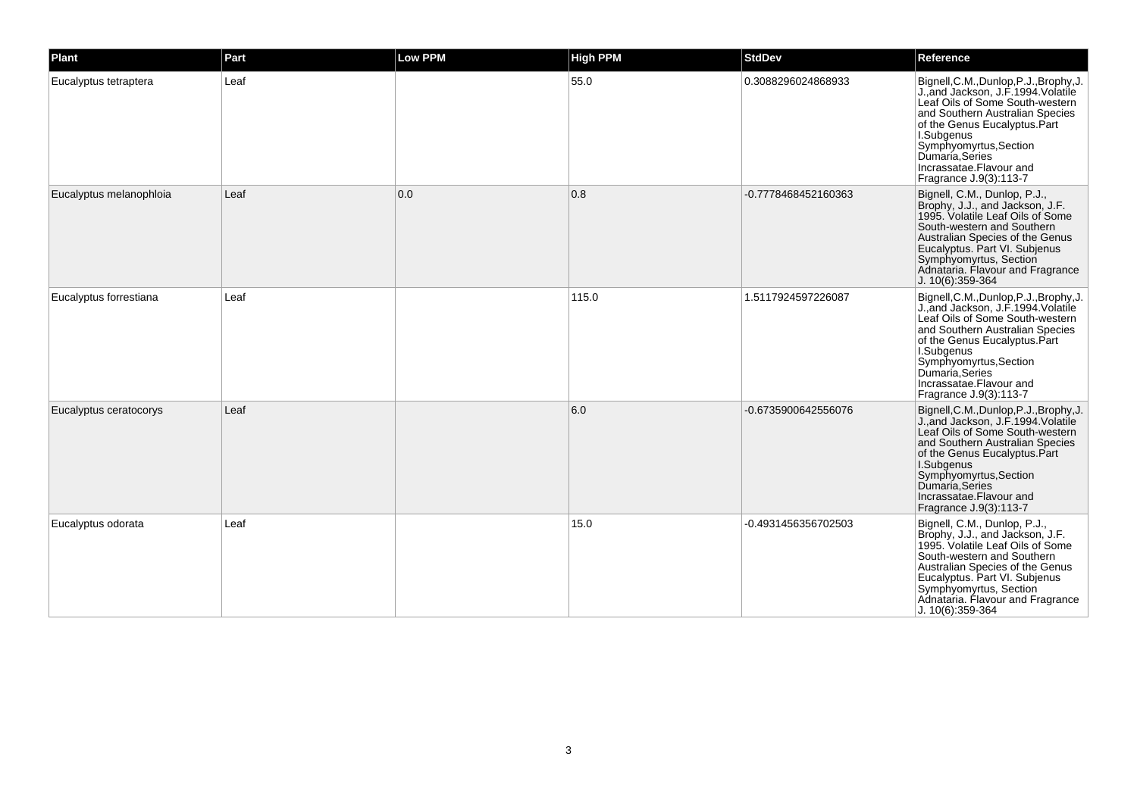| Plant                   | Part | Low PPM | <b>High PPM</b> | <b>StdDev</b>       | Reference                                                                                                                                                                                                                                                                                             |
|-------------------------|------|---------|-----------------|---------------------|-------------------------------------------------------------------------------------------------------------------------------------------------------------------------------------------------------------------------------------------------------------------------------------------------------|
| Eucalyptus tetraptera   | Leaf |         | 55.0            | 0.3088296024868933  | Bignell, C.M., Dunlop, P.J., Brophy, J.<br>J., and Jackson, J.F. 1994. Volatile<br>Leaf Oils of Some South-western<br>and Southern Australian Species<br>of the Genus Eucalyptus.Part<br>I.Subgenus<br>Symphyomyrtus, Section<br>Dumaria, Series<br>Incrassatae.Flavour and<br>Fragrance J.9(3):113-7 |
| Eucalyptus melanophloia | Leaf | 0.0     | 0.8             | -0.7778468452160363 | Bignell, C.M., Dunlop, P.J.,<br>Brophy, J.J., and Jackson, J.F.<br>1995. Volatile Leaf Oils of Some<br>South-western and Southern<br>Australian Species of the Genus<br>Eucalyptus. Part VI. Subjenus<br>Symphyomyrtus, Section<br>Adnataria. Flavour and Fragrance<br>J. 10(6):359-364               |
| Eucalyptus forrestiana  | Leaf |         | 115.0           | 1.5117924597226087  | Bignell, C.M., Dunlop, P.J., Brophy, J.<br>J., and Jackson, J.F. 1994. Volatile<br>Leaf Oils of Some South-western<br>and Southern Australian Species<br>of the Genus Eucalyptus.Part<br>I.Subgenus<br>Symphyomyrtus, Section<br>Dumaría, Series<br>Incrassatae.Flavour and<br>Fragrance J.9(3):113-7 |
| Eucalyptus ceratocorys  | Leaf |         | 6.0             | -0.6735900642556076 | Bignell, C.M., Dunlop, P.J., Brophy, J.<br>J., and Jackson, J.F. 1994. Volatile<br>Leaf Oils of Some South-western<br>and Southern Australian Species<br>of the Genus Eucalyptus.Part<br>I.Subgenus<br>Symphyomyrtus, Section<br>Dumaría Series<br>Incrassatae.Flavour and<br>Fragrance J.9(3):113-7  |
| Eucalyptus odorata      | Leaf |         | 15.0            | -0.4931456356702503 | Bignell, C.M., Dunlop, P.J.,<br>Brophy, J.J., and Jackson, J.F.<br>1995. Volatile Leaf Oils of Some<br>South-western and Southern<br>Australian Species of the Genus<br>Eucalyptus. Part VI. Subjenus<br>Symphyomyrtus, Section<br>Adnataria. Flavour and Fragrance<br>J. 10(6):359-364               |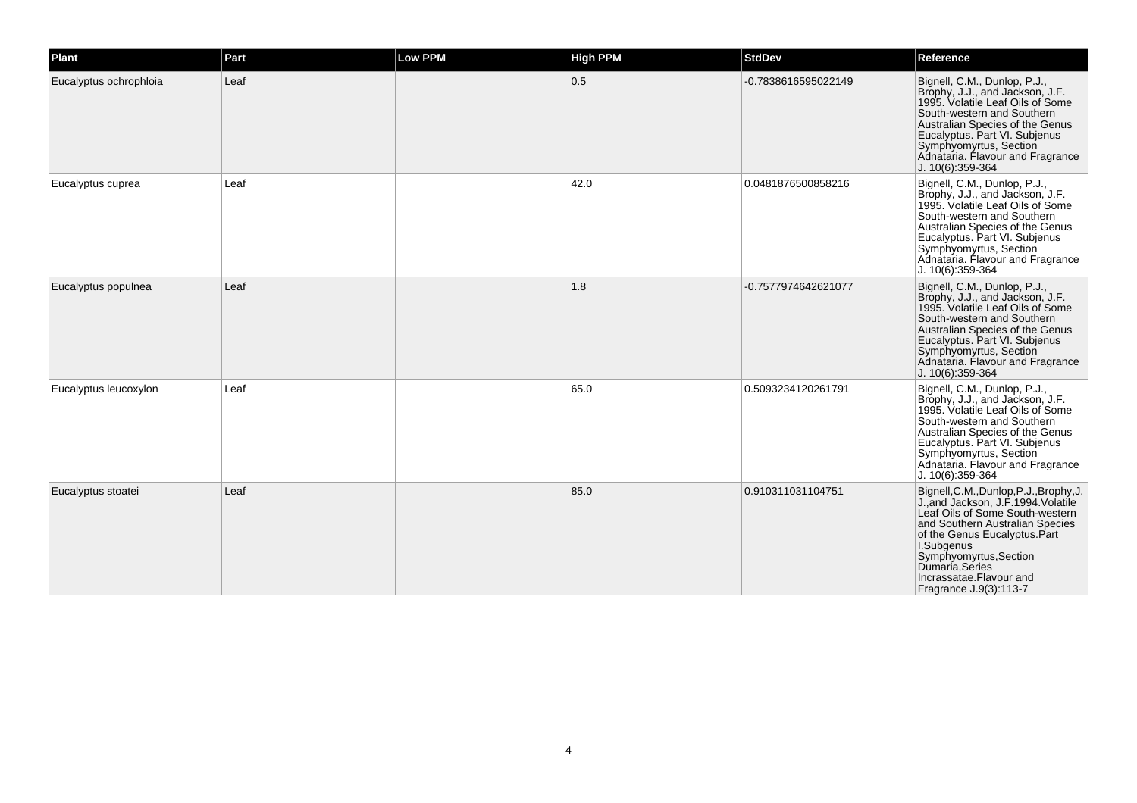| Plant                  | Part | Low PPM | <b>High PPM</b> | <b>StdDev</b>       | Reference                                                                                                                                                                                                                                                                                            |
|------------------------|------|---------|-----------------|---------------------|------------------------------------------------------------------------------------------------------------------------------------------------------------------------------------------------------------------------------------------------------------------------------------------------------|
| Eucalyptus ochrophloia | Leaf |         | 0.5             | -0.7838616595022149 | Bignell, C.M., Dunlop, P.J.,<br>Brophy, J.J., and Jackson, J.F.<br>1995. Volatile Leaf Oils of Some<br>South-western and Southern<br>Australian Species of the Genus<br>Eucalyptus. Part VI. Subjenus<br>Symphyomyrtus, Section<br>Adnataria. Flavour and Fragrance<br>J. 10(6):359-364              |
| Eucalyptus cuprea      | Leaf |         | 42.0            | 0.0481876500858216  | Bignell, C.M., Dunlop, P.J.,<br>Brophy, J.J., and Jackson, J.F.<br>1995. Volatile Leaf Oils of Some<br>South-western and Southern<br>Australian Species of the Genus<br>Eucalyptus. Part VI. Subjenus<br>Symphyomyrtus, Section<br>Adnataria. Flavour and Fragrance<br>$J. 10(6):359-364$            |
| Eucalyptus populnea    | Leaf |         | 1.8             | -0.7577974642621077 | Bignell, C.M., Dunlop, P.J.,<br>Brophy, J.J., and Jackson, J.F.<br>1995. Volatile Leaf Oils of Some<br>South-western and Southern<br>Australian Species of the Genus<br>Eucalyptus. Part VI. Subjenus<br>Symphyomyrtus, Section<br>Adnataria. Flavour and Fragrance<br>J. 10(6):359-364              |
| Eucalyptus leucoxylon  | Leaf |         | 65.0            | 0.5093234120261791  | Bignell, C.M., Dunlop, P.J.,<br>Brophy, J.J., and Jackson, J.F.<br>1995. Volatile Leaf Oils of Some<br>South-western and Southern<br>Australian Species of the Genus<br>Eucalyptus. Part VI. Subjenus<br>Symphyomyrtus, Section<br>Adnataria. Flavour and Fragrance<br>$J. 10(6):359-364$            |
| Eucalyptus stoatei     | Leaf |         | 85.0            | 0.910311031104751   | Bignell, C.M., Dunlop, P.J., Brophy, J.<br>J., and Jackson, J.F. 1994. Volatile<br>Leaf Oils of Some South-western<br>and Southern Australian Species<br>of the Genus Eucalyptus.Part<br>I.Subgenus<br>Symphyomyrtus, Section<br>Dumaria Series<br>Incrassatae.Flavour and<br>Fragrance J.9(3):113-7 |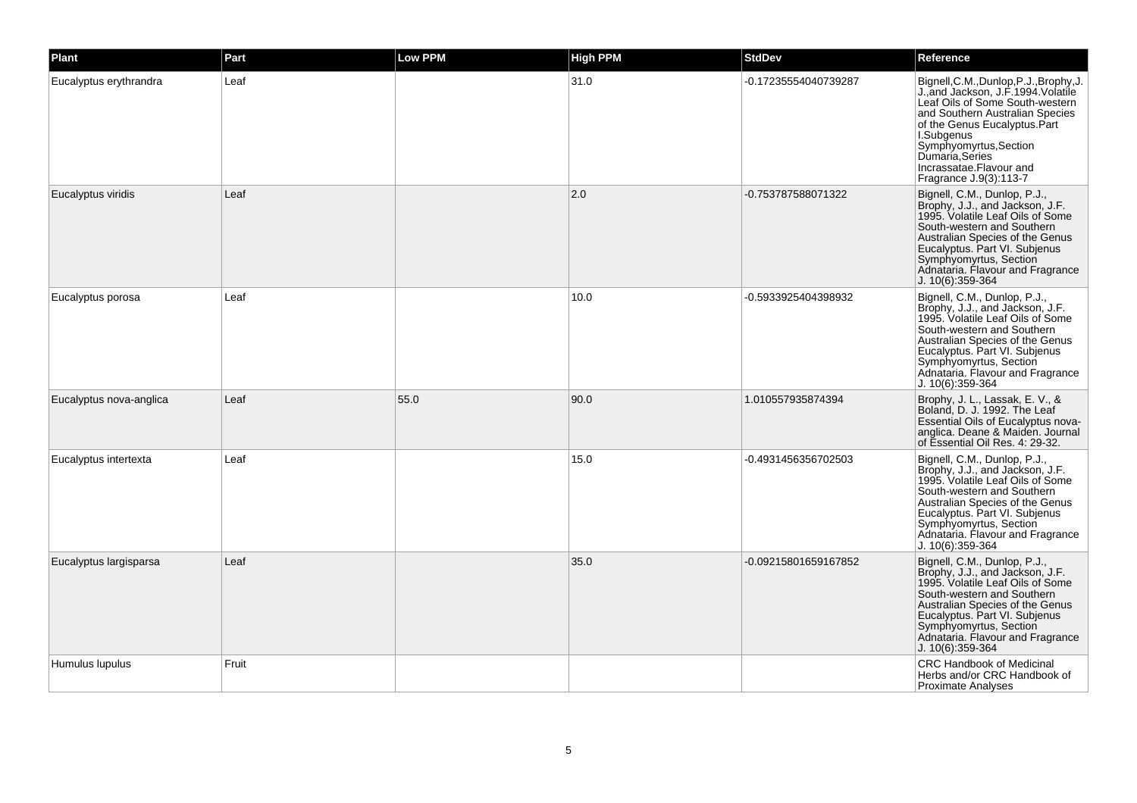| <b>Plant</b>            | Part  | Low PPM | <b>High PPM</b> | <b>StdDev</b>        | Reference                                                                                                                                                                                                                                                                                             |
|-------------------------|-------|---------|-----------------|----------------------|-------------------------------------------------------------------------------------------------------------------------------------------------------------------------------------------------------------------------------------------------------------------------------------------------------|
| Eucalyptus erythrandra  | Leaf  |         | 31.0            | -0.17235554040739287 | Bignell, C.M., Dunlop, P.J., Brophy, J.<br>J., and Jackson, J.F. 1994. Volatile<br>Leaf Oils of Some South-western<br>and Southern Australian Species<br>of the Genus Eucalyptus.Part<br>I.Subgenus<br>Symphyomyrtus, Section<br>Dumaría, Series<br>Incrassatae.Flavour and<br>Fragrance J.9(3):113-7 |
| Eucalyptus viridis      | Leaf  |         | 2.0             | -0.753787588071322   | Bignell, C.M., Dunlop, P.J.,<br>Brophy, J.J., and Jackson, J.F.<br>1995. Volatile Leaf Oils of Some<br>South-western and Southern<br>Australian Species of the Genus<br>Eucalyptus. Part VI. Subjenus<br>Symphyomyrtus, Section<br>Adnataria. Flavour and Fragrance<br>J. 10(6):359-364               |
| Eucalyptus porosa       | Leaf  |         | 10.0            | -0.5933925404398932  | Bignell, C.M., Dunlop, P.J.,<br>Brophy, J.J., and Jackson, J.F.<br>1995. Volatile Leaf Oils of Some<br>South-western and Southern<br>Australian Species of the Genus<br>Eucalyptus. Part VI. Subjenus<br>Symphyomyrtus, Section<br>Adnataria. Flavour and Fragrance<br>J. 10(6):359-364               |
| Eucalyptus nova-anglica | Leaf  | 55.0    | 90.0            | 1.010557935874394    | Brophy, J. L., Lassak, E. V., &<br>Boland, D. J. 1992. The Leaf<br><b>Essential Oils of Eucalyptus nova-</b><br>anglica. Deane & Maiden. Journal<br>of Essential Oil Res. 4: 29-32.                                                                                                                   |
| Eucalyptus intertexta   | Leaf  |         | 15.0            | -0.4931456356702503  | Bignell, C.M., Dunlop, P.J.,<br>Brophy, J.J., and Jackson, J.F.<br>1995. Volatile Leaf Oils of Some<br>South-western and Southern<br>Australian Species of the Genus<br>Eucalyptus. Part VI. Subjenus<br>Symphyomyrtus, Section<br>Adnataria. Flavour and Fragrance<br>J. 10(6):359-364               |
| Eucalyptus largisparsa  | Leaf  |         | 35.0            | -0.09215801659167852 | Bignell, C.M., Dunlop, P.J.,<br>Brophy, J.J., and Jackson, J.F.<br>1995. Volatile Leaf Oils of Some<br>South-western and Southern<br>Australian Species of the Genus<br>Eucalyptus. Part VI. Subjenus<br>Symphyomyrtus, Section<br>Adnataria. Flavour and Fragrance<br>J. 10(6):359-364               |
| Humulus lupulus         | Fruit |         |                 |                      | CRC Handbook of Medicinal<br>Herbs and/or CRC Handbook of<br><b>Proximate Analyses</b>                                                                                                                                                                                                                |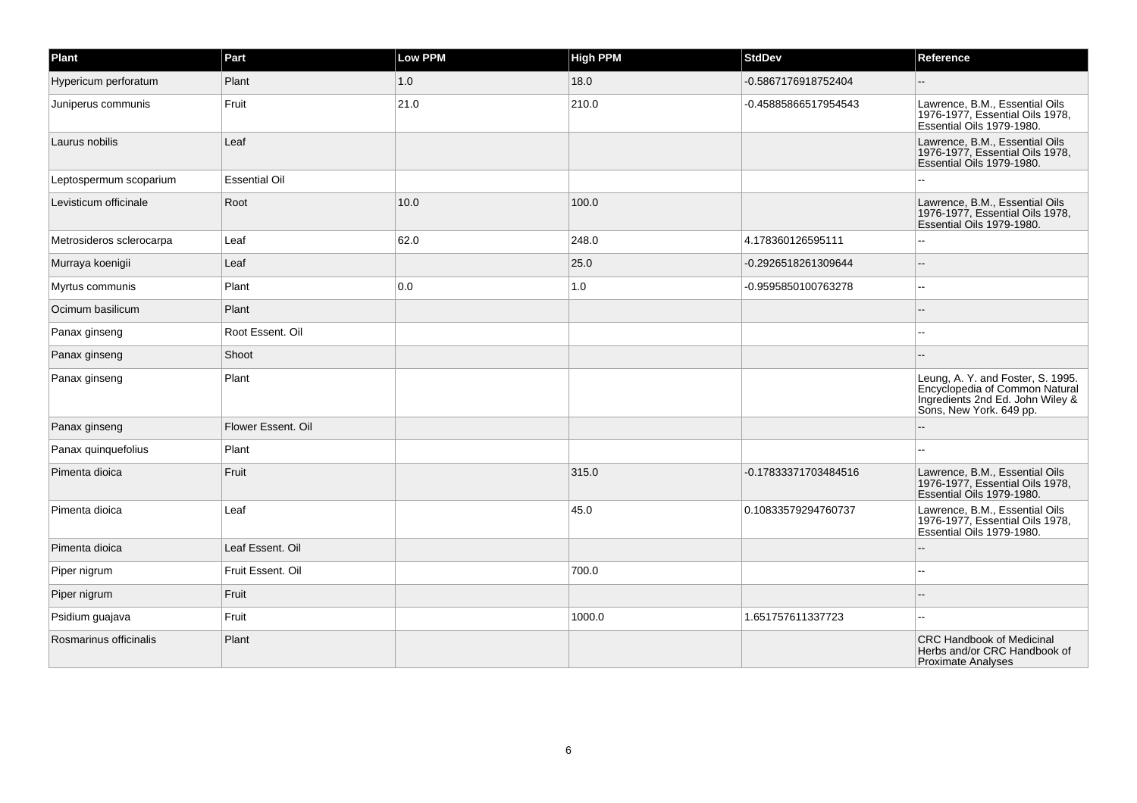| Plant                    | Part                 | <b>Low PPM</b> | <b>High PPM</b> | <b>StdDev</b>        | Reference                                                                                                                          |
|--------------------------|----------------------|----------------|-----------------|----------------------|------------------------------------------------------------------------------------------------------------------------------------|
| Hypericum perforatum     | Plant                | 1.0            | 18.0            | -0.5867176918752404  |                                                                                                                                    |
| Juniperus communis       | Fruit                | 21.0           | 210.0           | -0.45885866517954543 | Lawrence, B.M., Essential Oils<br>1976-1977. Essential Oils 1978.<br>Essential Oils 1979-1980.                                     |
| Laurus nobilis           | Leaf                 |                |                 |                      | Lawrence, B.M., Essential Oils<br>1976-1977, Essential Oils 1978,<br>Essential Oils 1979-1980.                                     |
| Leptospermum scoparium   | <b>Essential Oil</b> |                |                 |                      |                                                                                                                                    |
| Levisticum officinale    | Root                 | 10.0           | 100.0           |                      | Lawrence, B.M., Essential Oils<br>1976-1977, Essential Oils 1978,<br>Essential Oils 1979-1980.                                     |
| Metrosideros sclerocarpa | Leaf                 | 62.0           | 248.0           | 4.178360126595111    |                                                                                                                                    |
| Murraya koenigii         | Leaf                 |                | 25.0            | -0.2926518261309644  |                                                                                                                                    |
| Myrtus communis          | Plant                | 0.0            | 1.0             | -0.9595850100763278  |                                                                                                                                    |
| Ocimum basilicum         | Plant                |                |                 |                      |                                                                                                                                    |
| Panax ginseng            | Root Essent. Oil     |                |                 |                      |                                                                                                                                    |
| Panax ginseng            | Shoot                |                |                 |                      |                                                                                                                                    |
| Panax ginseng            | Plant                |                |                 |                      | Leung, A. Y. and Foster, S. 1995.<br>Encyclopedia of Common Natural<br>Ingredients 2nd Ed. John Wiley &<br>Sons, New York. 649 pp. |
| Panax ginseng            | Flower Essent, Oil   |                |                 |                      |                                                                                                                                    |
| Panax quinquefolius      | Plant                |                |                 |                      | $\sim$                                                                                                                             |
| Pimenta dioica           | Fruit                |                | 315.0           | -0.17833371703484516 | Lawrence, B.M., Essential Oils<br>1976-1977, Essential Oils 1978,<br>Essential Oils 1979-1980.                                     |
| Pimenta dioica           | Leaf                 |                | 45.0            | 0.10833579294760737  | Lawrence, B.M., Essential Oils<br>1976-1977, Essential Oils 1978,<br>Essential Oils 1979-1980.                                     |
| Pimenta dioica           | Leaf Essent. Oil     |                |                 |                      |                                                                                                                                    |
| Piper nigrum             | Fruit Essent. Oil    |                | 700.0           |                      |                                                                                                                                    |
| Piper nigrum             | Fruit                |                |                 |                      |                                                                                                                                    |
| Psidium guajava          | Fruit                |                | 1000.0          | 1.651757611337723    |                                                                                                                                    |
| Rosmarinus officinalis   | Plant                |                |                 |                      | <b>CRC Handbook of Medicinal</b><br>Herbs and/or CRC Handbook of<br><b>Proximate Analyses</b>                                      |